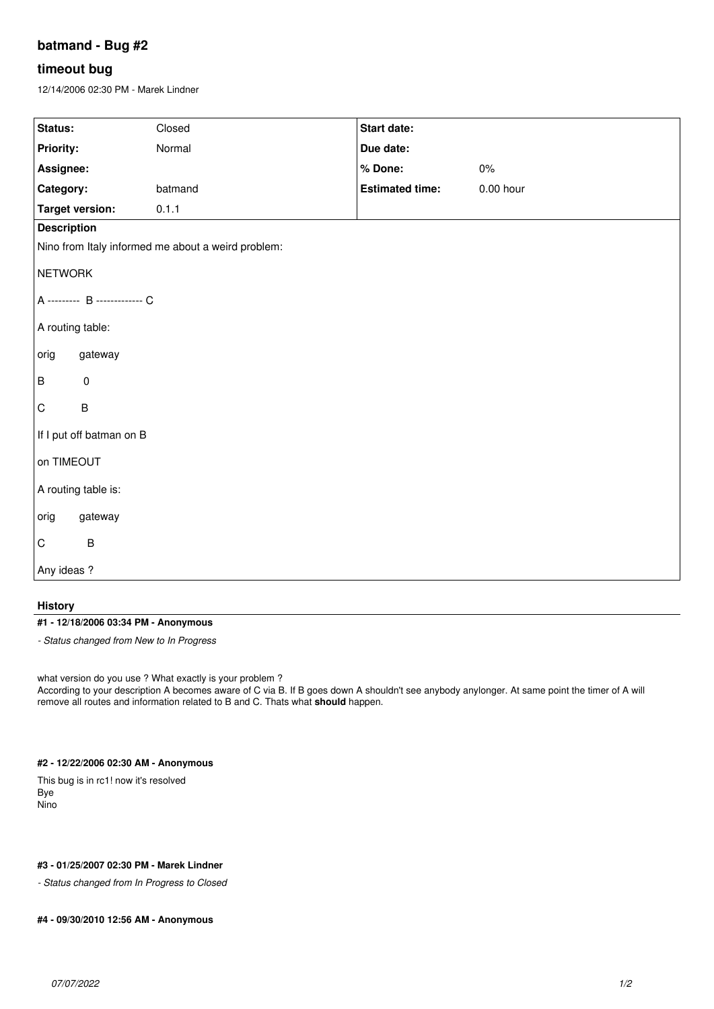# **batmand - Bug #2**

## **timeout bug**

12/14/2006 02:30 PM - Marek Lindner

| Status:                                            | Closed  | Start date:            |             |
|----------------------------------------------------|---------|------------------------|-------------|
| Priority:                                          | Normal  | Due date:              |             |
| Assignee:                                          |         | % Done:                | 0%          |
| Category:                                          | batmand | <b>Estimated time:</b> | $0.00$ hour |
| Target version:                                    | 0.1.1   |                        |             |
| <b>Description</b>                                 |         |                        |             |
| Nino from Italy informed me about a weird problem: |         |                        |             |
| NETWORK                                            |         |                        |             |
| A --------- B ------------- C                      |         |                        |             |
| A routing table:                                   |         |                        |             |
| $ $ orig<br>gateway                                |         |                        |             |
| B  <br>$\pmb{0}$                                   |         |                        |             |
| C<br>$\sf B$                                       |         |                        |             |
| If I put off batman on B                           |         |                        |             |
| on TIMEOUT                                         |         |                        |             |
| A routing table is:                                |         |                        |             |
| orig<br>gateway                                    |         |                        |             |
| $\sf B$<br>$\circ$                                 |         |                        |             |
| Any ideas ?                                        |         |                        |             |

#### **History**

#### **#1 - 12/18/2006 03:34 PM - Anonymous**

*- Status changed from New to In Progress*

what version do you use ? What exactly is your problem ?

According to your description A becomes aware of C via B. If B goes down A shouldn't see anybody anylonger. At same point the timer of A will remove all routes and information related to B and C. Thats what **should** happen.

#### **#2 - 12/22/2006 02:30 AM - Anonymous**

This bug is in rc1! now it's resolved Bye Nino

#### **#3 - 01/25/2007 02:30 PM - Marek Lindner**

*- Status changed from In Progress to Closed*

#### **#4 - 09/30/2010 12:56 AM - Anonymous**